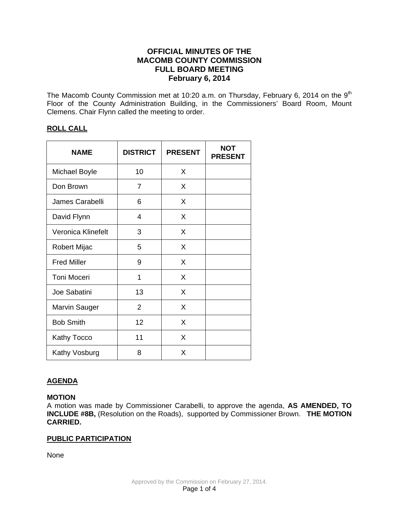# **OFFICIAL MINUTES OF THE MACOMB COUNTY COMMISSION FULL BOARD MEETING February 6, 2014**

The Macomb County Commission met at 10:20 a.m. on Thursday, February 6, 2014 on the  $9<sup>th</sup>$ Floor of the County Administration Building, in the Commissioners' Board Room, Mount Clemens. Chair Flynn called the meeting to order.

# **ROLL CALL**

| <b>NAME</b>          | <b>DISTRICT</b> | <b>PRESENT</b> | <b>NOT</b><br><b>PRESENT</b> |
|----------------------|-----------------|----------------|------------------------------|
| Michael Boyle        | 10              | X              |                              |
| Don Brown            | 7               | X              |                              |
| James Carabelli      | 6               | X              |                              |
| David Flynn          | 4               | X              |                              |
| Veronica Klinefelt   | 3               | X              |                              |
| Robert Mijac         | 5               | X              |                              |
| <b>Fred Miller</b>   | 9               | X              |                              |
| <b>Toni Moceri</b>   | 1               | X              |                              |
| Joe Sabatini         | 13              | X              |                              |
| <b>Marvin Sauger</b> | $\overline{2}$  | X              |                              |
| <b>Bob Smith</b>     | 12              | X              |                              |
| Kathy Tocco          | 11              | X              |                              |
| Kathy Vosburg        | 8               | X              |                              |

# **AGENDA**

## **MOTION**

A motion was made by Commissioner Carabelli, to approve the agenda, **AS AMENDED, TO INCLUDE #8B,** (Resolution on the Roads), supported by Commissioner Brown. **THE MOTION CARRIED.**

# **PUBLIC PARTICIPATION**

None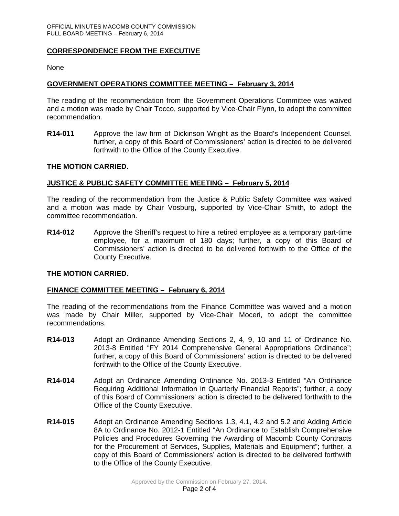## **CORRESPONDENCE FROM THE EXECUTIVE**

None

## **GOVERNMENT OPERATIONS COMMITTEE MEETING – February 3, 2014**

The reading of the recommendation from the Government Operations Committee was waived and a motion was made by Chair Tocco, supported by Vice-Chair Flynn, to adopt the committee recommendation.

**R14-011** Approve the law firm of Dickinson Wright as the Board's Independent Counsel. further, a copy of this Board of Commissioners' action is directed to be delivered forthwith to the Office of the County Executive.

#### **THE MOTION CARRIED.**

#### **JUSTICE & PUBLIC SAFETY COMMITTEE MEETING – February 5, 2014**

The reading of the recommendation from the Justice & Public Safety Committee was waived and a motion was made by Chair Vosburg, supported by Vice-Chair Smith, to adopt the committee recommendation.

**R14-012** Approve the Sheriff's request to hire a retired employee as a temporary part-time employee, for a maximum of 180 days; further, a copy of this Board of Commissioners' action is directed to be delivered forthwith to the Office of the County Executive.

#### **THE MOTION CARRIED.**

### **FINANCE COMMITTEE MEETING – February 6, 2014**

The reading of the recommendations from the Finance Committee was waived and a motion was made by Chair Miller, supported by Vice-Chair Moceri, to adopt the committee recommendations.

- **R14-013** Adopt an Ordinance Amending Sections 2, 4, 9, 10 and 11 of Ordinance No. 2013-8 Entitled "FY 2014 Comprehensive General Appropriations Ordinance"; further, a copy of this Board of Commissioners' action is directed to be delivered forthwith to the Office of the County Executive.
- **R14-014** Adopt an Ordinance Amending Ordinance No. 2013-3 Entitled "An Ordinance Requiring Additional Information in Quarterly Financial Reports"; further, a copy of this Board of Commissioners' action is directed to be delivered forthwith to the Office of the County Executive.
- **R14-015** Adopt an Ordinance Amending Sections 1.3, 4.1, 4.2 and 5.2 and Adding Article 8A to Ordinance No. 2012-1 Entitled "An Ordinance to Establish Comprehensive Policies and Procedures Governing the Awarding of Macomb County Contracts for the Procurement of Services, Supplies, Materials and Equipment"; further, a copy of this Board of Commissioners' action is directed to be delivered forthwith to the Office of the County Executive.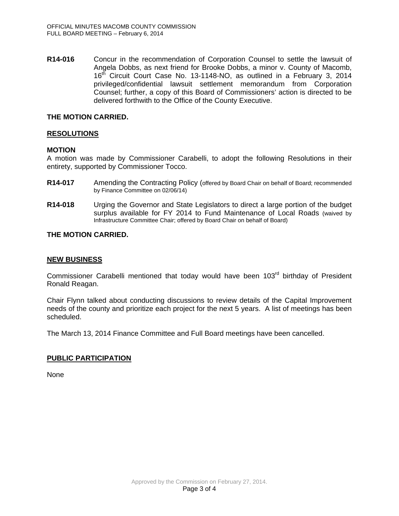**R14-016** Concur in the recommendation of Corporation Counsel to settle the lawsuit of Angela Dobbs, as next friend for Brooke Dobbs, a minor v. County of Macomb, 16<sup>th</sup> Circuit Court Case No. 13-1148-NO, as outlined in a February 3, 2014 privileged/confidential lawsuit settlement memorandum from Corporation Counsel; further, a copy of this Board of Commissioners' action is directed to be delivered forthwith to the Office of the County Executive.

### **THE MOTION CARRIED.**

## **RESOLUTIONS**

## **MOTION**

A motion was made by Commissioner Carabelli, to adopt the following Resolutions in their entirety, supported by Commissioner Tocco.

- **R14-017** Amending the Contracting Policy (offered by Board Chair on behalf of Board; recommended by Finance Committee on 02/06/14)
- **R14-018** Urging the Governor and State Legislators to direct a large portion of the budget surplus available for FY 2014 to Fund Maintenance of Local Roads (waived by Infrastructure Committee Chair; offered by Board Chair on behalf of Board)

## **THE MOTION CARRIED.**

### **NEW BUSINESS**

Commissioner Carabelli mentioned that today would have been 103<sup>rd</sup> birthday of President Ronald Reagan.

Chair Flynn talked about conducting discussions to review details of the Capital Improvement needs of the county and prioritize each project for the next 5 years. A list of meetings has been scheduled.

The March 13, 2014 Finance Committee and Full Board meetings have been cancelled.

## **PUBLIC PARTICIPATION**

None